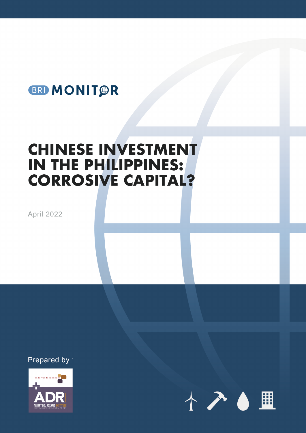# BRI MONIT PR

# **CHINESE INVESTMENT IN THE PHILIPPINES: CORROSIVE CAPITAL?**

**April 2022** 

Prepared by:



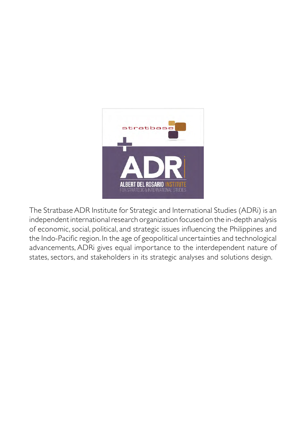

The Stratbase ADR Institute for Strategic and International Studies (ADRi) is an independent international research organization focused on the in-depth analysis of economic, social, political, and strategic issues influencing the Philippines and the Indo-Pacific region. In the age of geopolitical uncertainties and technological advancements, ADRi gives equal importance to the interdependent nature of states, sectors, and stakeholders in its strategic analyses and solutions design.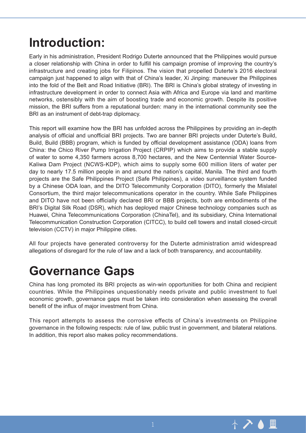# **Introduction:**

Early in his administration, President Rodrigo Duterte announced that the Philippines would pursue a closer relationship with China in order to fulfill his campaign promise of improving the country's infrastructure and creating jobs for Filipinos. The vision that propelled Duterte's 2016 electoral campaign just happened to align with that of China's leader, Xi Jinping: maneuver the Philippines into the fold of the Belt and Road Initiative (BRI). The BRI is China's global strategy of investing in infrastructure development in order to connect Asia with Africa and Europe via land and maritime networks, ostensibly with the aim of boosting trade and economic growth. Despite its positive mission, the BRI suffers from a reputational burden: many in the international community see the BRI as an instrument of debt-trap diplomacy.

This report will examine how the BRI has unfolded across the Philippines by providing an in-depth analysis of official and unofficial BRI projects. Two are banner BRI projects under Duterte's Build, Build, Build (BBB) program, which is funded by official development assistance (ODA) loans from China: the Chico River Pump Irrigation Project (CRPIP) which aims to provide a stable supply of water to some 4,350 farmers across 8,700 hectares, and the New Centennial Water Source-Kaliwa Dam Project (NCWS-KDP), which aims to supply some 600 million liters of water per day to nearly 17.5 million people in and around the nation's capital, Manila. The third and fourth projects are the Safe Philippines Project (Safe Philippines), a video surveillance system funded by a Chinese ODA loan, and the DITO Telecommunity Corporation (DITO), formerly the Mislatel Consortium, the third major telecommunications operator in the country. While Safe Philippines and DITO have not been officially declared BRI or BBB projects, both are embodiments of the BRI's Digital Silk Road (DSR), which has deployed major Chinese technology companies such as Huawei, China Telecommunications Corporation (ChinaTel), and its subsidiary, China International Telecommunication Construction Corporation (CITCC), to build cell towers and install closed-circuit television (CCTV) in major Philippine cities.

All four projects have generated controversy for the Duterte administration amid widespread allegations of disregard for the rule of law and a lack of both transparency, and accountability.

# **Governance Gaps**

China has long promoted its BRI projects as win-win opportunities for both China and recipient countries. While the Philippines unquestionably needs private and public investment to fuel economic growth, governance gaps must be taken into consideration when assessing the overall benefit of the influx of major investment from China.

This report attempts to assess the corrosive effects of China's investments on Philippine governance in the following respects: rule of law, public trust in government, and bilateral relations. In addition, this report also makes policy recommendations.

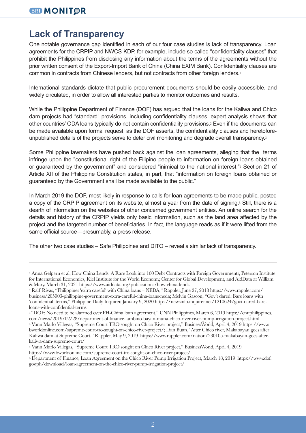### **Lack of Transparency**

One notable governance gap identified in each of our four case studies is lack of transparency. Loan agreements for the CRPIP and NWCS-KDP, for example, include so-called "confidentiality clauses" that prohibit the Philippines from disclosing any information about the terms of the agreements without the prior written consent of the Export-Import Bank of China (China EXIM Bank). Confidentiality clauses are common in contracts from Chinese lenders, but not contracts from other foreign lenders.<sup>1</sup>

International standards dictate that public procurement documents should be easily accessible, and widely circulated, in order to allow all interested parties to monitor outcomes and results.

While the Philippine Department of Finance (DOF) has argued that the loans for the Kaliwa and Chico dam projects had "standard" provisions, including confidentiality clauses, expert analysis shows that other countries' ODA loans typically do not contain confidentiality provisions.2 Even if the documents can be made available upon formal request, as the DOF asserts, the confidentiality clauses and heretoforeunpublished details of the projects serve to deter civil monitoring and degrade overall transparency.<sup>3</sup>

Some Philippine lawmakers have pushed back against the loan agreements, alleging that the terms infringe upon the "constitutional right of the Filipino people to information on foreign loans obtained or guaranteed by the government" and considered "inimical to the national interest."4 Section 21 of Article XII of the Philippine Constitution states, in part, that "information on foreign loans obtained or guaranteed by the Government shall be made available to the public."<sup>5</sup>

In March 2019 the DOF, most likely in response to calls for loan agreements to be made public, posted a copy of the CRPIP agreement on its website, almost a year from the date of signing.<sup>6</sup> Still, there is a dearth of information on the websites of other concerned government entities. An online search for the details and history of the CRPIP yields only basic information, such as the land area affected by the project and the targeted number of beneficiaries. In fact, the language reads as if it were lifted from the same official source—presumably, a press release.

The other two case studies – Safe Philippines and DITO – reveal a similar lack of transparency.

<sup>3</sup>"DOF: No need to be alarmed over PH-China loan agreement," CNN Philippines, March 6, 2019 https://cnnphilippines. com/news/2019/02/28/department-of-finance-lambino-bayan-muna-chico-river-river-pump-irrigation-project.html

<sup>1</sup> Anna Gelpern et al, How China Lends: A Rare Look into 100 Debt Contracts with Foreign Governments, Peterson Institute for International Economics, Kiel Institute for the World Economy, Center for Global Development, and AidData at William & Mary, March 31, 2021 https://www.aiddata.org/publications/how-china-lends.

<sup>2</sup> Ralf Rivas, "Philippines 'extra careful' with China loans – NEDA," Rappler, June 27, 2018 https://www.rappler.com/ business/205903-philippine-government-extra-careful-china-loans-neda; Melvin Gascon, "Gov't dared: Bare loans with 'confidential' terms," Philippine Daily Inquirer, January 9, 2020 https://newsinfo.inquirer.net/1210624/govt-dared-bareloans-with-confidential-terms

<sup>4</sup> Vann Marlo Villegas, "Supreme Court TRO sought on Chico River project," BusinessWorld, April 4, 2019 https://www. bworldonline.com/supreme-court-tro-sought-on-chico-river-project/; Lian Buan, "After Chico river, Makabayan goes after Kaliwa dam at Supreme Court," Rappler, May 9, 2019 https://www.rappler.com/nation/230105-makabayan-goes-afterkaliwa-dam-supreme-court/

<sup>5</sup> Vann Marlo Villegas, "Supreme Court TRO sought on Chico River project," BusinessWorld, April 4, 2019 https://www.bworldonline.com/supreme-court-tro-sought-on-chico-river-project/

<sup>6</sup> Department of Finance, Loan Agreement on the Chico River Pump Irrigation Project, March 18, 2019 https://www.dof. gov.ph/download/loan-agreement-on-the-chico-river-pump-irrigation-project/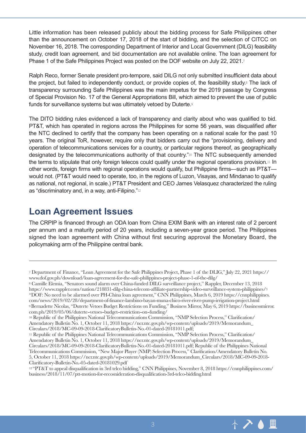Little information has been released publicly about the bidding process for Safe Philippines other than the announcement on October 17, 2018 of the start of bidding, and the selection of CITCC on November 16, 2018. The corresponding Department of Interior and Local Government (DILG) feasibility study, credit loan agreement, and bid documentation are not available online. The loan agreement for Phase 1 of the Safe Philippines Project was posted on the DOF website on July 22, 2021.7

Ralph Reco, former Senate president pro-tempore, said DILG not only submitted insufficient data about the project, but failed to independently conduct, or provide copies of, the feasibility study.8 The lack of transparency surrounding Safe Philippines was the main impetus for the 2019 passage by Congress of Special Provision No. 17 of the General Appropriations Bill, which aimed to prevent the use of public funds for surveillance systems but was ultimately vetoed by Duterte.<sup>9</sup>

The DITO bidding rules evidenced a lack of transparency and clarity about who was qualified to bid. PT&T, which has operated in regions across the Philippines for some 56 years, was disqualified after the NTC declined to certify that the company has been operating on a national scale for the past 10 years. The original ToR, however, require only that bidders carry out the "provisioning, delivery and operation of telecommunications services for a country, or particular regions thereof, as geographically designated by the telecommunications authority of that country."10 The NTC subsequently amended the terms to stipulate that only foreign telecos could qualify under the regional operations provision.<sup>11</sup> In other words, foreign firms with regional operations would qualify, but Philippine firms—such as PT&T would not. (PT&T would need to operate, too, in the regions of Luzon, Visayas, and Mindanao to qualify as national, not regional, in scale.) PT&T President and CEO James Velasquez characterized the ruling as "discriminatory and, in a way, anti-Filipino."<sup>12</sup>

### **Loan Agreement Issues**

The CRPIP is financed through an ODA loan from China EXIM Bank with an interest rate of 2 percent per annum and a maturity period of 20 years, including a seven-year grace period. The Philippines signed the loan agreement with China without first securing approval the Monetary Board, the policymaking arm of the Philippine central bank.



<sup>7</sup> Department of Finance, "Loan Agreement for the Safe Philippines Project, Phase 1 of the DLIG," July 22, 2021 https:// www.dof.gov.ph/download/loan-agreement-for-the-safe-philippines-project-phase-1-of-the-dilg/

<sup>8</sup> Camille Elemia, "Senators sound alarm over China-funded DILG surveillance project," Rappler, December 13, 2018 https://www.rappler.com/nation/218831-dilg-china-telecom-affiliate-partnership-video-surveillance-system-philippines/<sup>3</sup> "DOF: No need to be alarmed over PH-China loan agreement," CNN Philippines, March 6, 2019 https://cnnphilippines. com/news/2019/02/28/department-of-finance-lambino-bayan-muna-chico-river-river-pump-irrigation-project.html <sup>9</sup>Bernadette Nicolas, "Duterte Vetoes Budget Restrictions on Funding," Business Mirror, May 6, 2019 https://businessmirror.

<sup>&</sup>lt;sup>10</sup> Republic of the Philippines National Telecommunications Commission, "NMP Selection Process," Clarification/ Amendatory Bulletin No. 1, October 11, 2018 https://ncr.ntc.gov.ph/wp-content/uploads/2019/Memorandum\_ Circulars/2018/MC-09-09-2018-ClarificatoryBulletin-No.-01-dated-20181011.pdf;

<sup>11</sup> Republic of the Philippines National Telecommunications Commission, "NMP Selection Process," Clarification/ Amendatory Bulletin No. 1, October 11, 2018 https://ncr.ntc.gov.ph/wp-content/uploads/2019/Memorandum\_ Circulars/2018/MC-09-09-2018-ClarificatoryBulletin-No.-01-dated-20181011.pdf; Republic of the Philippines National Telecommunications Commission, "New Major Player (NMP) Selection Process," Clarification/Amendatory Bulletin No. 5, October 11, 2018 https://ncr.ntc.gov.ph/wp-content/uploads/2019/Memorandum\_Circulars/2018/MC-09-09-2018- Clarificatory-Bulletin-No.-05-dated-20181029.pdf

<sup>12</sup>"PT&T to appeal disqualification in 3rd telco bidding," CNN Philippines, November 8, 2018 https://cnnphilippines.com/ business/2018/11/07/ptt-motion-for-recosnideration-disqualification-3rd-telco-bidding.html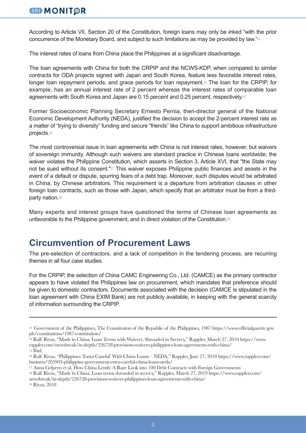#### **BRI MONITOR**

According to Article VII, Section 20 of the Constitution, foreign loans may only be inked "with the prior concurrence of the Monetary Board, and subject to such limitations as may be provided by law."<sup>13</sup>

The interest rates of loans from China place the Philippines at a significant disadvantage.

The loan agreements with China for both the CRPIP and the NCWS-KDP, when compared to similar contracts for ODA projects signed with Japan and South Korea, feature less favorable interest rates, longer loan repayment periods, and grace periods for loan repayment.14 The loan for the CRPIP, for example, has an annual interest rate of 2 percent whereas the interest rates of comparable loan agreements with South Korea and Japan are 0.15 percent and 0.25 percent, respectively.<sup>15</sup>

Former Socioeconomic Planning Secretary Ernesto Pernia, then-director general of the National Economic Development Authority (NEDA), justified the decision to accept the 2-percent interest rate as a matter of "trying to diversity" funding and secure "friends" like China to support ambitious infrastructure projects.<sup>16</sup>

The most controversial issue in loan agreements with China is not interest rates, however, but waivers of sovereign immunity. Although such waivers are standard practice in Chinese loans worldwide, the waiver violates the Philippine Constitution, which asserts in Section 3, Article XVI, that "the State may not be sued without its consent."17 This waiver exposes Philippine public finances and assets in the event of a default or dispute, spurring fears of a debt trap. Moreover, such disputes would be arbitrated in China, by Chinese arbitrators. This requirement is a departure from arbitration clauses in other foreign loan contracts, such as those with Japan, which specify that an arbitrator must be from a thirdparty nation.<sup>18</sup>

Many experts and interest groups have questioned the terms of Chinese loan agreements as unfavorable to the Philippine government, and in direct violation of the Constitution.<sup>19</sup>

### **Circumvention of Procurement Laws**

The pre-selection of contractors, and a lack of competition in the tendering process, are recurring themes in all four case studies.

For the CRPIP, the selection of China CAMC Engineering Co., Ltd. (CAMCE) as the primary contractor appears to have violated the Philippines law on procurement, which mandates that preference should be given to domestic contractors. Documents associated with the decision (CAMCE is stipulated in the loan agreement with China EXIM Bank) are not publicly available, in keeping with the general scarcity of information surrounding the CRPIP.

19 Rivas, 2018

<sup>13</sup>Government of the Philippines, The Constitution of the Republic of the Philippines, 1987 https://www.officialgazette.gov. ph/constitutions/1987-constitution/

<sup>14</sup> Ralf Rivas, "Made in China: Loan Terms with Waivers, Shrouded in Secrecy," Rappler, March 27, 2019 https://www. rappler.com/newsbreak/in-depth/226728-provisions-waivers-philippines-loan-agreements-with-china/ 15 Ibid.

<sup>16</sup> Ralf Rivas, "Philippines 'Extra Careful' With China Loans – NEDA," Rappler, June 27, 2018 https://www.rappler.com/ business/205903-philippine-government-extra-careful-china-loans-neda/

<sup>17</sup> Anna Gelpern et al, How China Lends: A Rare Look into 100 Debt Contracts with Foreign Governments

<sup>18</sup> Ralf Rivas, "Made in China: Loan terms shrouded in secrecy," Rappler, March 27, 2019 https://www.rappler.com/ newsbreak/in-depth/226728-provisions-waivers-philippines-loan-agreements-with-china/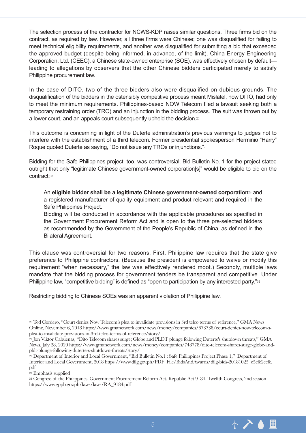The selection process of the contractor for NCWS-KDP raises similar questions. Three firms bid on the contract, as required by law. However, all three firms were Chinese; one was disqualified for failing to meet technical eligibility requirements, and another was disqualified for submitting a bid that exceeded the approved budget (despite being informed, in advance, of the limit). China Energy Engineering Corporation, Ltd. (CEEC), a Chinese state-owned enterprise (SOE), was effectively chosen by default leading to allegations by observers that the other Chinese bidders participated merely to satisfy Philippine procurement law.

In the case of DITO, two of the three bidders also were disqualified on dubious grounds. The disqualification of the bidders in the ostensibly competitive process meant Mislatel, now DITO, had only to meet the minimum requirements. Philippines-based NOW Telecom filed a lawsuit seeking both a temporary restraining order (TRO) and an injunction in the bidding process. The suit was thrown out by a lower court, and an appeals court subsequently upheld the decision.<sup>20</sup>

This outcome is concerning in light of the Duterte administration's previous warnings to judges not to interfere with the establishment of a third telecom. Former presidential spokesperson Herminio "Harry" Roque quoted Duterte as saying, "Do not issue any TROs or injunctions."21

Bidding for the Safe Philippines project, too, was controversial. Bid Bulletin No. 1 for the project stated outright that only "legitimate Chinese government-owned corporation[s]" would be eligible to bid on the contract:<sup>22</sup>

An **eligible bidder shall be a legitimate Chinese government-owned corporation**23 and a registered manufacturer of quality equipment and product relevant and required in the Safe Philippines Project.

Bidding will be conducted in accordance with the applicable procedures as specified in the Government Procurement Reform Act and is open to the three pre-selected bidders as recommended by the Government of the People's Republic of China, as defined in the Bilateral Agreement.

This clause was controversial for two reasons. First, Philippine law requires that the state give preference to Philippine contractors. (Because the president is empowered to waive or modify this requirement "when necessary," the law was effectively rendered moot.) Secondly, multiple laws mandate that the bidding process for government tenders be transparent and competitive. Under Philippine law, "competitive bidding" is defined as "open to participation by any interested party."<sup>24</sup>

Restricting bidding to Chinese SOEs was an apparent violation of Philippine law.



<sup>20</sup> Ted Cordero, "Court denies Now Telecom's plea to invalidate provisions in 3rd telco terms of reference," GMA News Online, November 6, 2018 https://www.gmanetwork.com/news/money/companies/673738/court-denies-now-telecom-splea-to-invalidate-provisions-in-3rd-telco-terms-of-reference/story/

<sup>21</sup> Jon Viktor Cabuenas, "Dito Telecom shares surge; Globe and PLDT plunge following Duterte's shutdown threats," GMA News, July 28, 2020 https://www.gmanetwork.com/news/money/companies/748778/dito-telecom-shares-surge-globe-andpldt-plunge-following-duterte-s-shutdown-threats/story/

<sup>22</sup> Department of Interior and Local Government, "Bid Bulletin No.1 : Safe Philippines Project Phase 1," Department of Interior and Local Government, 2018 https://www.dilg.gov.ph/PDF\_File/BidsAndAwards/dilg-bids-20181025\_e5cfc2ccfc. pdf

<sup>23</sup> Emphasis supplied

<sup>24</sup> Congress of the Philippines, Government Procurement Reform Act, Republic Act 9184, Twelfth Congress, 2nd session https://www.gppb.gov.ph/laws/laws/RA\_9184.pdf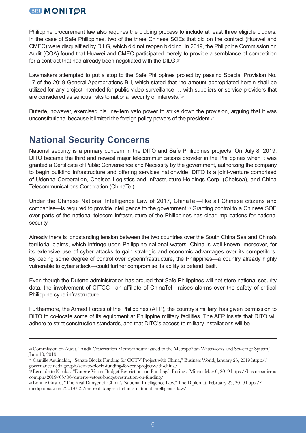#### **BRI MONITOR**

Philippine procurement law also requires the bidding process to include at least three eligible bidders. In the case of Safe Philippines, two of the three Chinese SOEs that bid on the contract (Huawei and CMEC) were disqualified by DILG, which did not reopen bidding. In 2019, the Philippine Commission on Audit (COA) found that Huawei and CMEC participated merely to provide a semblance of competition for a contract that had already been negotiated with the DILG.<sup>25</sup>

Lawmakers attempted to put a stop to the Safe Philippines project by passing Special Provision No. 17 of the 2019 General Appropriations Bill, which stated that "no amount appropriated herein shall be utilized for any project intended for public video surveillance … with suppliers or service providers that are considered as serious risks to national security or interests."<sup>26</sup>

Duterte, however, exercised his line-item veto power to strike down the provision, arguing that it was unconstitutional because it limited the foreign policy powers of the president.<sup>27</sup>

### **National Security Concerns**

National security is a primary concern in the DITO and Safe Philippines projects. On July 8, 2019, DITO became the third and newest major telecommunications provider in the Philippines when it was granted a Certificate of Public Convenience and Necessity by the government, authorizing the company to begin building infrastructure and offering services nationwide. DITO is a joint-venture comprised of Udenna Corporation, Chelsea Logistics and Infrastructure Holdings Corp. (Chelsea), and China Telecommunications Corporation (ChinaTel).

Under the Chinese National Intelligence Law of 2017, ChinaTel—like all Chinese citizens and companies—is required to provide intelligence to the government.28 Granting control to a Chinese SOE over parts of the national telecom infrastructure of the Philippines has clear implications for national security.

Already there is longstanding tension between the two countries over the South China Sea and China's territorial claims, which infringe upon Philippine national waters. China is well-known, moreover, for its extensive use of cyber attacks to gain strategic and economic advantages over its competitors. By ceding some degree of control over cyberinfrastructure, the Philippines—a country already highly vulnerable to cyber attack—could further compromise its ability to defend itself.

Even though the Duterte administration has argued that Safe Philippines will not store national security data, the involvement of CITCC—an affiliate of ChinaTel—raises alarms over the safety of critical Philippine cyberinfrastructure.

Furthermore, the Armed Forces of the Philippines (AFP), the country's military, has given permission to DITO to co-locate some of its equipment at Philippine military facilities. The AFP insists that DITO will adhere to strict construction standards, and that DITO's access to military installations will be

<sup>25</sup> Commission on Audit, "Audit Observation Memorandum issued to the Metropolitan Waterworks and Sewerage System," June 10, 2019

<sup>26</sup> Camille Aguinaldo, "Senate Blocks Funding for CCTV Project with China," Business World, January 23, 2019 https:// governance.neda.gov.ph/senate-blocks-funding-for-cctv-project-with-china/

<sup>27</sup>Bernadette Nicolas, "Duterte Vetoes Budget Restrictions on Funding," Business Mirror, May 6, 2019 https://businessmirror. com.ph/2019/05/06/duterte-vetoes-budget-restriction-on-funding/

<sup>28</sup> Bonnie Girard, "The Real Danger of China's National Intelligence Law," The Diplomat, February 23, 2019 https:// thediplomat.com/2019/02/the-real-danger-of-chinas-national-intelligence-law/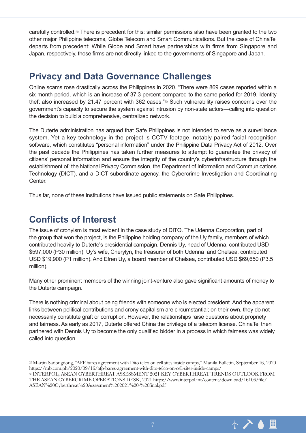carefully controlled.29 There is precedent for this: similar permissions also have been granted to the two other major Philippine telecoms, Globe Telecom and Smart Communications. But the case of ChinaTel departs from precedent: While Globe and Smart have partnerships with firms from Singapore and Japan, respectively, those firms are not directly linked to the governments of Singapore and Japan.

### **Privacy and Data Governance Challenges**

Online scams rose drastically across the Philippines in 2020. "There were 869 cases reported within a six-month period, which is an increase of 37.3 percent compared to the same period for 2019. Identity theft also increased by 21.47 percent with 362 cases."30 Such vulnerability raises concerns over the government's capacity to secure the system against intrusion by non-state actors—calling into question the decision to build a comprehensive, centralized network.

The Duterte administration has argued that Safe Philippines is not intended to serve as a surveillance system. Yet a key technology in the project is CCTV footage, notably paired facial recognition software, which constitutes "personal information" under the Philippine Data Privacy Act of 2012. Over the past decade the Philippines has taken further measures to attempt to guarantee the privacy of citizens' personal information and ensure the integrity of the country's cyberinfrastructure through the establishment of: the National Privacy Commission, the Department of Information and Communications Technology (DICT), and a DICT subordinate agency, the Cybercrime Investigation and Coordinating Center.

Thus far, none of these institutions have issued public statements on Safe Philippines.

### **Conflicts of Interest**

The issue of cronyism is most evident in the case study of DITO. The Udenna Corporation, part of the group that won the project, is the Philippine holding company of the Uy family, members of which contributed heavily to Duterte's presidential campaign. Dennis Uy, head of Udenna, contributed USD \$597,000 (P30 million). Uy's wife, Cherylyn, the treasurer of both Udenna and Chelsea, contributed USD \$19,900 (P1 million). And Efren Uy, a board member of Chelsea, contributed USD \$69,650 (P3.5 million).

Many other prominent members of the winning joint-venture also gave significant amounts of money to the Duterte campaign.

There is nothing criminal about being friends with someone who is elected president. And the apparent links between political contributions and crony capitalism are circumstantial; on their own, they do not necessarily constitute graft or corruption. However, the relationships raise questions about propriety and fairness. As early as 2017, Duterte offered China the privilege of a telecom license. ChinaTel then partnered with Dennis Uy to become the only qualified bidder in a process in which fairness was widely called into question.



<sup>29</sup>Martin Sadongdong, "AFP bares agreement with Dito telco on cell sites inside camps," Manila Bulletin, September 16, 2020 https://mb.com.ph/2020/09/16/afp-bares-agreement-with-dito-telco-on-cell-sites-inside-camps/ 30 INTERPOL, ASEAN CYBERTHREAT ASSESSMENT 2021 KEY CYBERTHREAT TRENDS OUTLOOK FROM THE ASEAN CYBERCRIME OPERATIONS DESK, 2021 https://www.interpol.int/content/download/16106/file/ ASEAN%20Cyberthreat%20Assessment%202021%20-%20final.pdf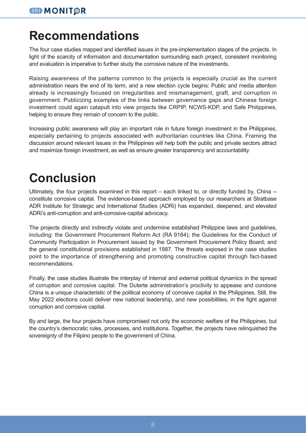# **Recommendations**

The four case studies mapped and identified issues in the pre-implementation stages of the projects. In light of the scarcity of information and documentation surrounding each project, consistent monitoring and evaluation is imperative to further study the corrosive nature of the investments.

Raising awareness of the patterns common to the projects is especially crucial as the current administration nears the end of its term, and a new election cycle begins: Public and media attention already is increasingly focused on irregularities and mismanagement, graft, and corruption in government. Publicizing examples of the links between governance gaps and Chinese foreign investment could again catapult into view projects like CRPIP, NCWS-KDP, and Safe Philippines, helping to ensure they remain of concern to the public.

Increasing public awareness will play an important role in future foreign investment in the Philippines, especially pertaining to projects associated with authoritarian countries like China. Framing the discussion around relevant issues in the Philippines will help both the public and private sectors attract and maximize foreign investment, as well as ensure greater transparency and accountability.

# **Conclusion**

Ultimately, the four projects examined in this report – each linked to, or directly funded by, China - constitute corrosive capital. The evidence-based approach employed by our researchers at Stratbase ADR Institute for Strategic and International Studies (ADRi) has expanded, deepened, and elevated ADRi's anti-corruption and anti-corrosive-capital advocacy.

The projects directly and indirectly violate and undermine established Philippine laws and guidelines, including: the Government Procurement Reform Act (RA 9184); the Guidelines for the Conduct of Community Participation in Procurement issued by the Government Procurement Policy Board; and the general constitutional provisions established in 1987. The threats exposed in the case studies point to the importance of strengthening and promoting constructive capital through fact-based recommendations.

Finally, the case studies illustrate the interplay of internal and external political dynamics in the spread of corruption and corrosive capital. The Duterte administration's proclivity to appease and condone China is a unique characteristic of the political economy of corrosive capital in the Philippines. Still, the May 2022 elections could deliver new national leadership, and new possibilities, in the fight against corruption and corrosive capital.

By and large, the four projects have compromised not only the economic welfare of the Philippines, but the country's democratic rules, processes, and institutions. Together, the projects have relinquished the sovereignty of the Filipino people to the government of China.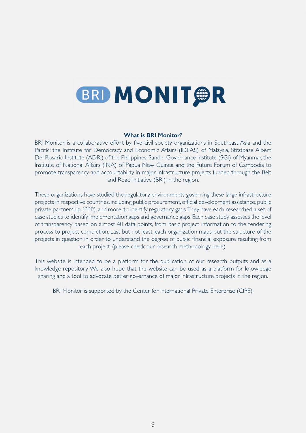

by five civil society organizations in Southeast Asia and the<br>and Economic Affairs (IDEAS) of Malaysia Strathase Albert Pacific: the Institute for Democracy and Economic Affairs (IDEAS) of Malays<br>Del Rosario Institute (ADRi) of the Philippines Sandhi Governance Institute (S LET THE STATE STATE CONSUMER THE CONSULTING PROPERTY OF THE PROPERTY OF THE PROPERTY OF THE PROPERTY OF THE PROPERTY OF THE PROPERTY OF THE PROPERTY OF THE PROPERTY OF THE PROPERTY OF THE PROPERTY OF THE PROPERTY OF THE PR Institute of National Affairs (INA) of Papua New Guinea and the Future Forum of promote transparency and accountability in major infrastructure projects funded the measure the materials and accountability in major infrastructure projects funded through the Belt<br>and Road Initiative (BRI) in the region 2L- $\sqrt{2}$  and  $\sqrt{2}$  $\mathsf{Id}\,\mathsf{Road}\,\mathsf{Init}$  in the region.

These organizations have studied the regulatory environments governing these large infrastructure<br>projects in respective countries, including public procurement, official development assistance, public programmer of the manner, manning pasture processes, and an entity processes the level<br>case studies to identify implementation gaps and governance gaps. Each case study assesses the level ation gaps and governance gaps. Each case study assesses the level<br>40 data points from basic project information to the tendering of transparency based on almost 40 data points, from basic project information to the tendering<br>process to project completion Last but not least each organization maps out the structure of the process to project completion. Last but not least, each organization maps out the structure of the<br>projects in question in order to understand the degree of public financial exposure resulting from projects in question in order to understand the degree of public financial ex<br>each project (please check our research methodology her  $\mathcal{L}$  $\begin{array}{ccc} \cdot & \cdot & \cdot \\ \cdot & \cdot & \cdot \\ \cdot & \cdot & \cdot \end{array}$ each project. (please check our research methodology here). &LVWLV&#WL--

This website is intended to be a platform for the publication of our research ou<br>knowledge repository We also hope that the website can be used as a platform also hope that the website can be used as a platform for knowledge<br>cate better governance of major infrastructure projects in the region Sharing and a tool to advocate better governance of major infrastructure projects in the region.  $\mathbb{R}^N$  $\mathcal{L}$ LWL LWL LWL

LWW&22-BRI Monitor is supported by the Center for International Private Enterprise (CIPE).  $W$